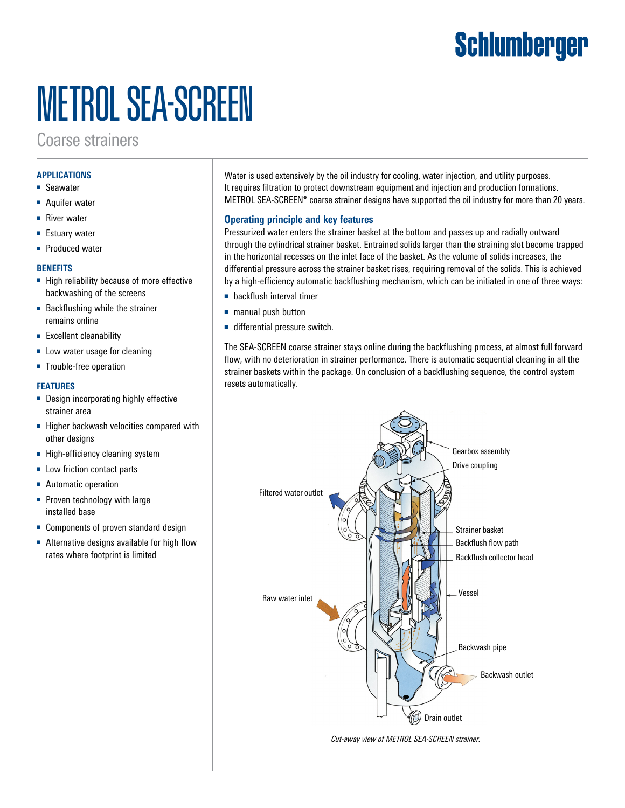## Schlumberger

# METROL SEA-SCREEN

### Coarse strainers

#### **APPLICATIONS**

- Seawater
- Aquifer water
- River water
- Estuary water
- Produced water

#### **BENEFITS**

- High reliability because of more effective backwashing of the screens
- Backflushing while the strainer remains online
- Excellent cleanability
- Low water usage for cleaning
- Trouble-free operation

#### **FEATURES**

- Design incorporating highly effective strainer area
- Higher backwash velocities compared with other designs
- High-efficiency cleaning system
- Low friction contact parts
- Automatic operation
- Proven technology with large installed base
- Components of proven standard design
- Alternative designs available for high flow rates where footprint is limited

Water is used extensively by the oil industry for cooling, water injection, and utility purposes. It requires filtration to protect downstream equipment and injection and production formations. METROL SEA-SCREEN\* coarse strainer designs have supported the oil industry for more than 20 years.

#### **Operating principle and key features**

Pressurized water enters the strainer basket at the bottom and passes up and radially outward through the cylindrical strainer basket. Entrained solids larger than the straining slot become trapped in the horizontal recesses on the inlet face of the basket. As the volume of solids increases, the differential pressure across the strainer basket rises, requiring removal of the solids. This is achieved by a high-efficiency automatic backflushing mechanism, which can be initiated in one of three ways:

- backflush interval timer
- manual push button
- differential pressure switch.

The SEA-SCREEN coarse strainer stays online during the backflushing process, at almost full forward flow, with no deterioration in strainer performance. There is automatic sequential cleaning in all the strainer baskets within the package. On conclusion of a backflushing sequence, the control system resets automatically.



*Cut-away view of METROL SEA-SCREEN strainer.*